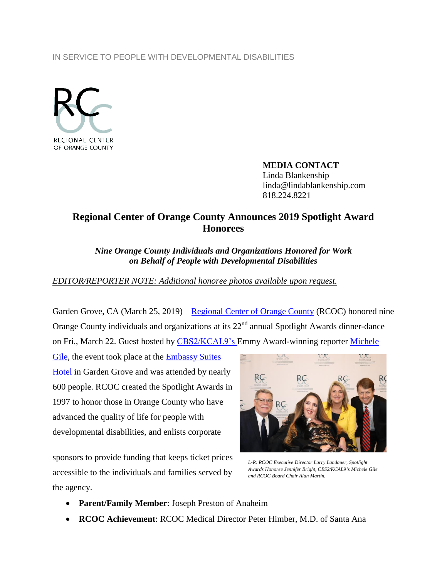## IN SERVICE TO PEOPLE WITH DEVELOPMENTAL DISABILITIES



**MEDIA CONTACT** Linda Blankenship linda@lindablankenship.com 818.224.8221

## **Regional Center of Orange County Announces 2019 Spotlight Award Honorees**

*Nine Orange County Individuals and Organizations Honored for Work on Behalf of People with Developmental Disabilities*

## *EDITOR/REPORTER NOTE: Additional honoree photos available upon request.*

Garden Grove, CA (March 25, 2019) – [Regional Center of Orange County](http://www.rcocdd.com/) (RCOC) honored nine Orange County individuals and organizations at its 22<sup>nd</sup> annual Spotlight Awards dinner-dance on Fri., March 22. Guest hosted by CBS2/KCAL9's Emmy Award-winning reporter [Michele](https://losangeles.cbslocal.com/personality/michele-gile/) 

[Gile,](https://losangeles.cbslocal.com/personality/michele-gile/) the event took place at the **Embassy Suites** [Hotel](https://embassysuites3.hilton.com/en/hotels/california/embassy-suites-by-hilton-anaheim-south-LAXGDES/index.html) in Garden Grove and was attended by nearly 600 people. RCOC created the Spotlight Awards in 1997 to honor those in Orange County who have advanced the quality of life for people with developmental disabilities, and enlists corporate

sponsors to provide funding that keeps ticket prices accessible to the individuals and families served by the agency.



*L-R: RCOC Executive Director Larry Landauer, Spotlight Awards Honoree Jennifer Bright, CBS2/KCAL9's Michele Gile and RCOC Board Chair Alan Martin.*

- **Parent/Family Member**: Joseph Preston of Anaheim
- **RCOC Achievement**: RCOC Medical Director Peter Himber, M.D. of Santa Ana